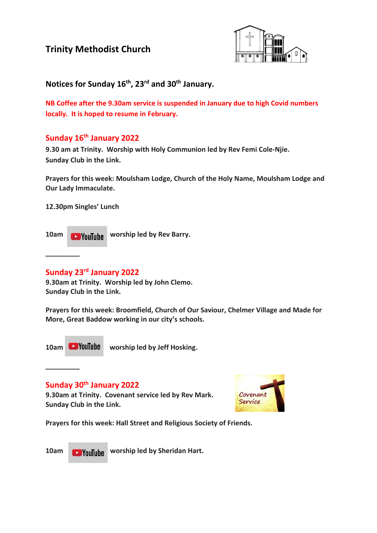# **Trinity Methodist Church**



## **Notices for Sunday 16th , 23rd and 30th January.**

**NB Coffee after the 9.30am service is suspended in January due to high Covid numbers locally. It is hoped to resume in February.**

## **Sunday 16th January 2022**

**9.30 am at Trinity. Worship with Holy Communion led by Rev Femi Cole-Njie. Sunday Club in the Link.**

**Prayers for this week: Moulsham Lodge, Church of the Holy Name, Moulsham Lodge and Our Lady Immaculate.**

**12.30pm Singles' Lunch** 

10am **Would Like Worship led by Rev Barry.** 

### **Sunday 23rd January 2022**

**9.30am at Trinity. Worship led by John Clemo. Sunday Club in the Link.**

**Prayers for this week: Broomfield, Church of Our Saviour, Chelmer Village and Made for More, Great Baddow working in our city's schools.**

**\_\_\_\_\_\_\_\_\_**

**\_\_\_\_\_\_\_\_\_**

10am **Woulube** worship led by Jeff Hosking.

**Sunday 30th January 2022**

**9.30am at Trinity. Covenant service led by Rev Mark. Sunday Club in the Link.**



**Prayers for this week: Hall Street and Religious Society of Friends.**

10am **Would by Sheridan Hart.**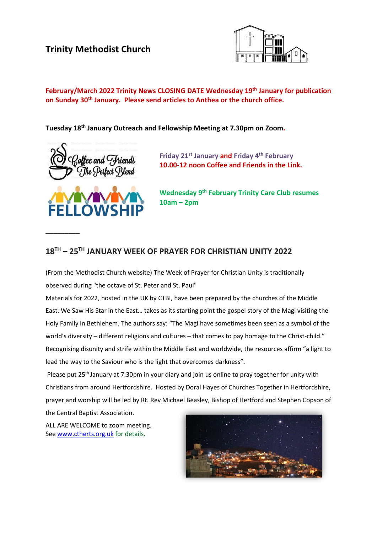# **Trinity Methodist Church**



#### **February/March 2022 Trinity News CLOSING DATE Wednesday 19th January for publication on Sunday 30th January. Please send articles to Anthea or the church office.**

**Tuesday 18th January Outreach and Fellowship Meeting at 7.30pm on Zoom.**



**Friday 21st January and Friday 4th February 10.00-12 noon Coffee and Friends in the Link.**



**\_\_\_\_\_\_\_\_\_**

**Wednesday 9th February Trinity Care Club resumes 10am – 2pm**

### **18TH – 25TH JANUARY WEEK OF PRAYER FOR CHRISTIAN UNITY 2022**

(From the Methodist Church website) The Week of Prayer for Christian Unity is traditionally observed during "the octave of St. Peter and St. Paul"

Materials for 2022, [hosted in the UK by CTBI,](https://ctbi.org.uk/week-of-prayer-for-christian-unity-2022/) have been prepared by the churches of the Middle East. We Saw His Star in the East... takes as its starting point the gospel story of the Magi visiting the Holy Family in Bethlehem. The authors say: "The Magi have sometimes been seen as a symbol of the world's diversity – different religions and cultures – that comes to pay homage to the Christ-child." Recognising disunity and strife within the Middle East and worldwide, the resources affirm "a light to lead the way to the Saviour who is the light that overcomes darkness".

Please put 25<sup>th</sup> January at 7.30pm in your diary and join us online to pray together for unity with Christians from around Hertfordshire. Hosted by Doral Hayes of Churches Together in Hertfordshire, prayer and worship will be led by Rt. Rev Michael Beasley, Bishop of Hertford and Stephen Copson of

the Central Baptist Association.

ALL ARE WELCOME to zoom meeting. Se[e www.ctherts.org.uk](http://www.ctherts.org.uk/) for details.